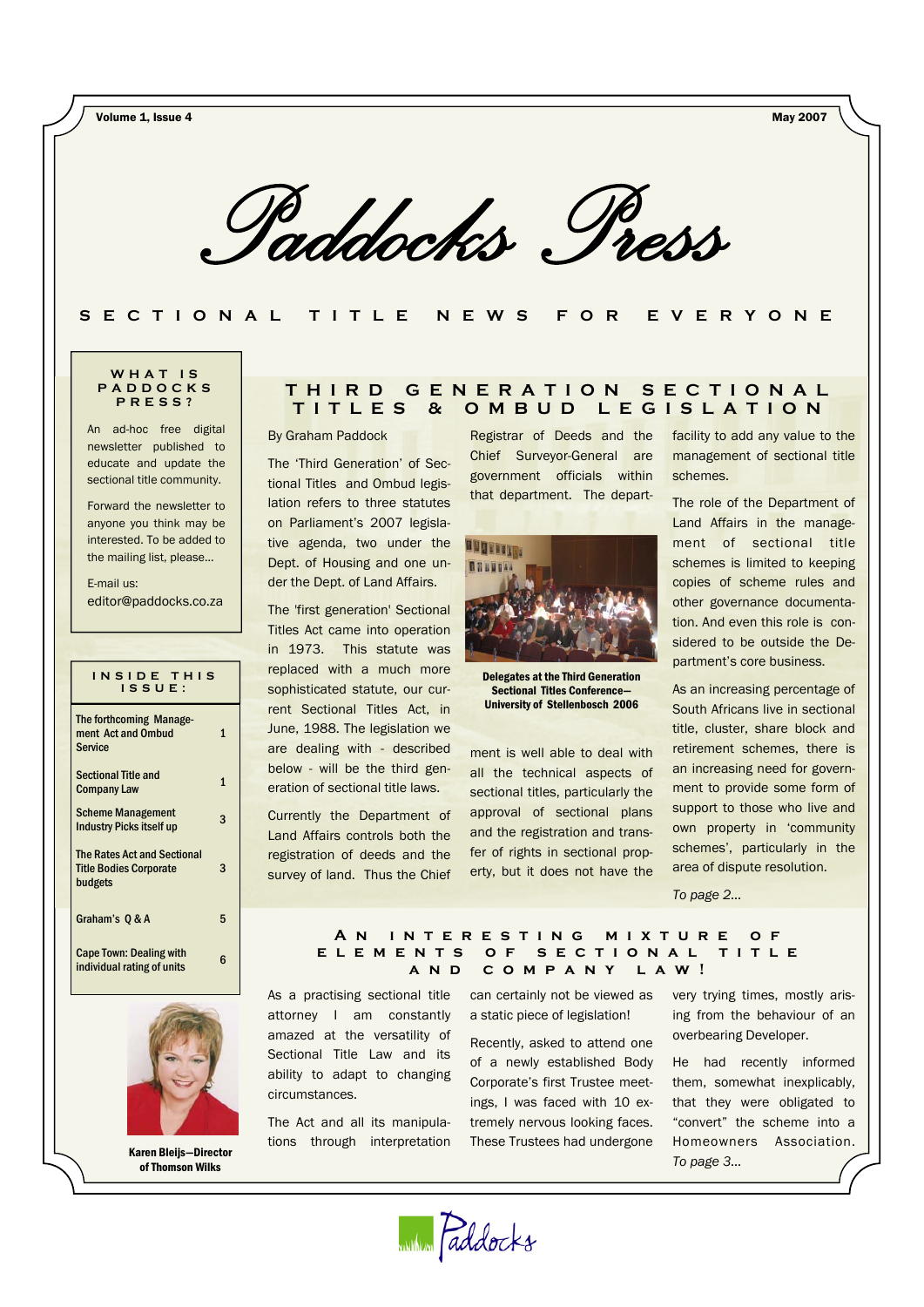Volume 1, Issue 4 May 2007

*Paddocks Press* 

**SECTIONAL TITLE NEWS FOR EVERYONE** 

#### **WHAT IS PADDOCKS PRESS?**

An ad-hoc free digital newsletter published to educate and update the sectional title community.

Forward the newsletter to anyone you think may be interested. To be added to the mailing list, please...

E-mail us: editor@paddocks.co.za

| INSIDE THIS<br>$IS$ SUE :                                                      |   |  |  |
|--------------------------------------------------------------------------------|---|--|--|
| The forthcoming Manage-<br>ment Act and Ombud<br><b>Service</b>                | 1 |  |  |
| <b>Sectional Title and</b><br><b>Company Law</b>                               | 1 |  |  |
| <b>Scheme Management</b><br><b>Industry Picks itself up</b>                    | 3 |  |  |
| <b>The Rates Act and Sectional</b><br><b>Title Bodies Corporate</b><br>budgets | 3 |  |  |
| Graham's 0 & A                                                                 | 5 |  |  |
| <b>Cape Town: Dealing with</b><br>individual rating of units                   | հ |  |  |



Karen Bleijs—Director of Thomson Wilks

# **THIRD GENERATION SECTIONAL TITLES & OMBUD LEGISLATION**

By Graham Paddock

The 'Third Generation' of Sectional Titles and Ombud legislation refers to three statutes on Parliament's 2007 legislative agenda, two under the Dept. of Housing and one under the Dept. of Land Affairs.

The 'first generation' Sectional Titles Act came into operation in 1973. This statute was replaced with a much more sophisticated statute, our current Sectional Titles Act, in June, 1988. The legislation we are dealing with - described below - will be the third generation of sectional title laws.

Currently the Department of Land Affairs controls both the registration of deeds and the survey of land. Thus the Chief

Registrar of Deeds and the Chief Surveyor-General are government officials within that department. The depart-



Delegates at the Third Generation Sectional Titles Conference— University of Stellenbosch 2006

ment is well able to deal with all the technical aspects of sectional titles, particularly the approval of sectional plans and the registration and transfer of rights in sectional property, but it does not have the

facility to add any value to the management of sectional title schemes.

The role of the Department of Land Affairs in the management of sectional title schemes is limited to keeping copies of scheme rules and other governance documentation. And even this role is considered to be outside the Department's core business.

As an increasing percentage of South Africans live in sectional title, cluster, share block and retirement schemes, there is an increasing need for government to provide some form of support to those who live and own property in 'community schemes', particularly in the area of dispute resolution.

*To page 2...* 

#### **An interesting mixture of elements of sectional title and company law!**

As a practising sectional title attorney I am constantly amazed at the versatility of Sectional Title Law and its ability to adapt to changing circumstances.

The Act and all its manipulations through interpretation can certainly not be viewed as a static piece of legislation!

Recently, asked to attend one of a newly established Body Corporate's first Trustee meetings, I was faced with 10 extremely nervous looking faces. These Trustees had undergone very trying times, mostly arising from the behaviour of an overbearing Developer.

He had recently informed them, somewhat inexplicably, that they were obligated to "convert" the scheme into a Homeowners Association. *To page 3...*

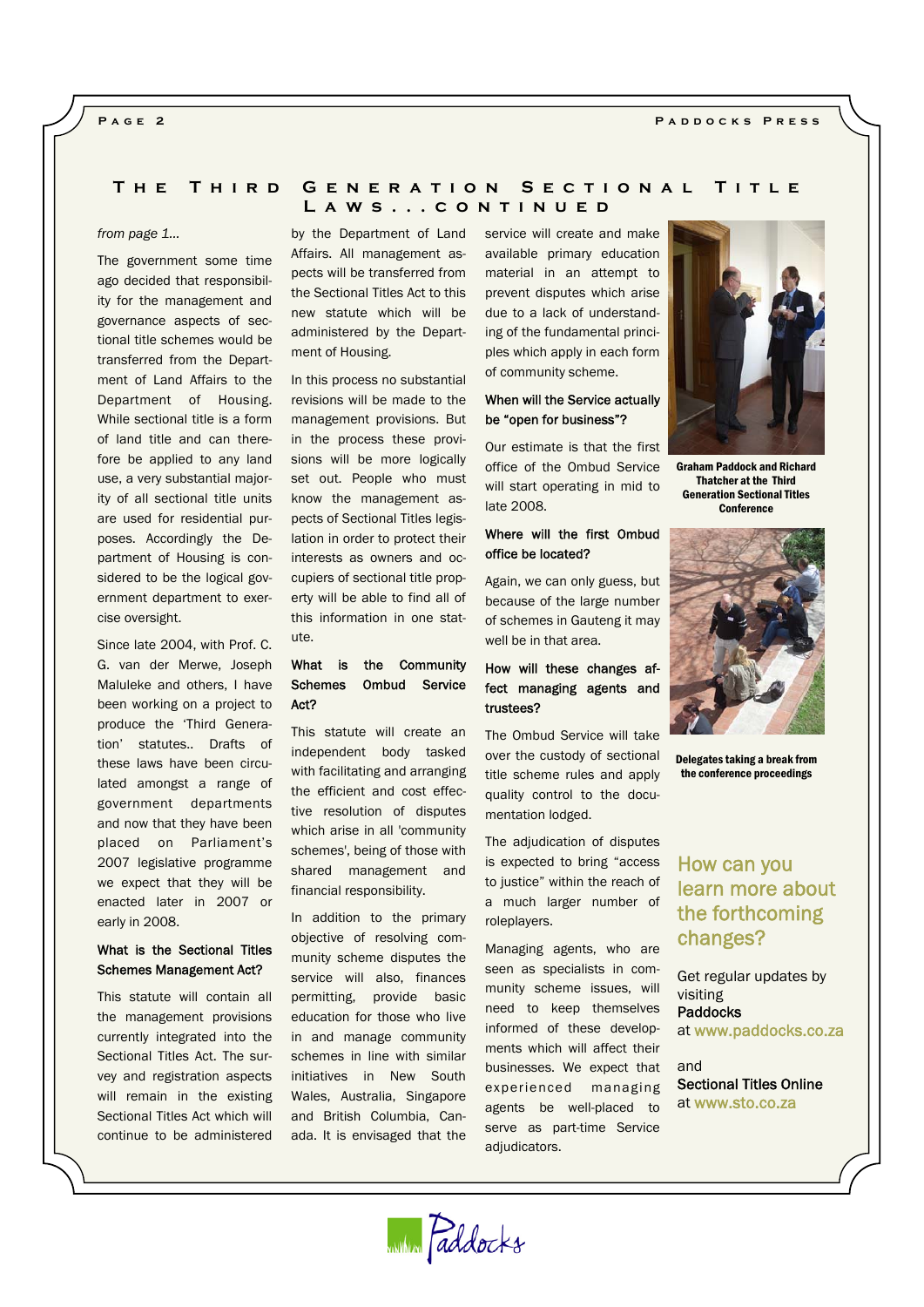# **Paddocks Press**

### **Page 2**

# **The Third Generation Sectional Title Laws...continued**

#### *from page 1…*

The government some time ago decided that responsibility for the management and governance aspects of sectional title schemes would be transferred from the Department of Land Affairs to the Department of Housing. While sectional title is a form of land title and can therefore be applied to any land use, a very substantial majority of all sectional title units are used for residential purposes. Accordingly the Department of Housing is considered to be the logical government department to exercise oversight.

Since late 2004, with Prof. C. G. van der Merwe, Joseph Maluleke and others, I have been working on a project to produce the 'Third Generation' statutes.. Drafts of these laws have been circulated amongst a range of government departments and now that they have been placed on Parliament's 2007 legislative programme we expect that they will be enacted later in 2007 or early in 2008.

# What is the Sectional Titles Schemes Management Act?

This statute will contain all the management provisions currently integrated into the Sectional Titles Act. The survey and registration aspects will remain in the existing Sectional Titles Act which will continue to be administered by the Department of Land Affairs. All management aspects will be transferred from the Sectional Titles Act to this new statute which will be administered by the Department of Housing.

In this process no substantial revisions will be made to the management provisions. But in the process these provisions will be more logically set out. People who must know the management aspects of Sectional Titles legislation in order to protect their interests as owners and occupiers of sectional title property will be able to find all of this information in one statute.

# What is the Community Schemes Ombud Service Act?

This statute will create an independent body tasked with facilitating and arranging the efficient and cost effective resolution of disputes which arise in all 'community schemes', being of those with shared management and financial responsibility.

In addition to the primary objective of resolving community scheme disputes the service will also, finances permitting, provide basic education for those who live in and manage community schemes in line with similar initiatives in New South Wales, Australia, Singapore and British Columbia, Canada. It is envisaged that the service will create and make available primary education material in an attempt to prevent disputes which arise due to a lack of understanding of the fundamental principles which apply in each form of community scheme.

# When will the Service actually be "open for business"?

Our estimate is that the first office of the Ombud Service will start operating in mid to late 2008.

# Where will the first Ombud office be located?

Again, we can only guess, but because of the large number of schemes in Gauteng it may well be in that area.

# How will these changes affect managing agents and trustees?

The Ombud Service will take over the custody of sectional title scheme rules and apply quality control to the documentation lodged.

The adjudication of disputes is expected to bring "access to justice" within the reach of a much larger number of roleplayers.

Managing agents, who are seen as specialists in community scheme issues, will need to keep themselves informed of these developments which will affect their businesses. We expect that experienced managing agents be well-placed to serve as part-time Service adjudicators.



Graham Paddock and Richard Thatcher at the Third Generation Sectional Titles **Conference** 



Delegates taking a break from the conference proceedings

# How can you learn more about the forthcoming changes?

Get regular updates by visiting Paddocks at www.paddocks.co.za

and Sectional Titles Online at www.sto.co.za

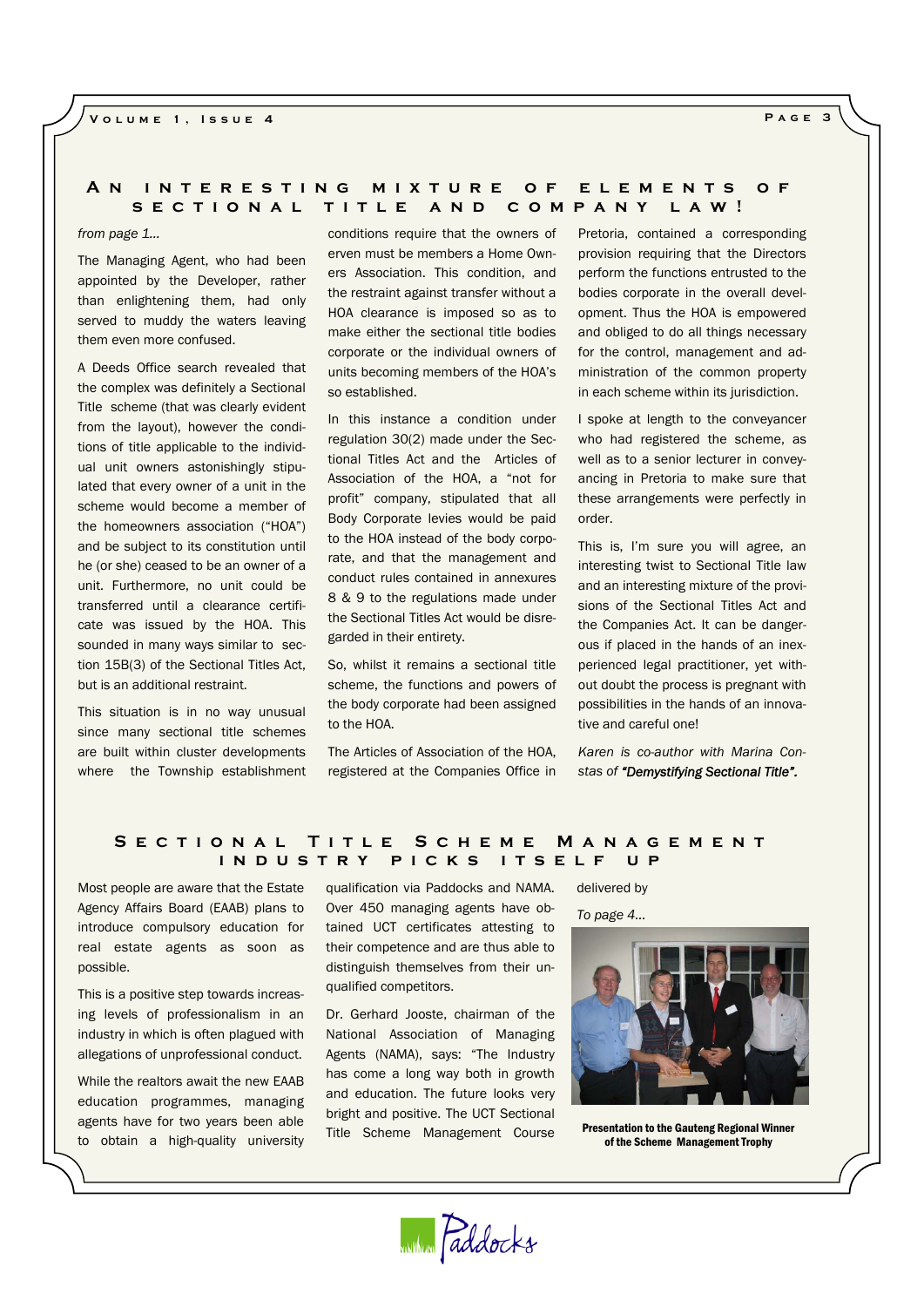# **An interesting mixture of elements of sectional title and company law!**

*from page 1…*

The Managing Agent, who had been appointed by the Developer, rather than enlightening them, had only served to muddy the waters leaving them even more confused.

A Deeds Office search revealed that the complex was definitely a Sectional Title scheme (that was clearly evident from the layout), however the conditions of title applicable to the individual unit owners astonishingly stipulated that every owner of a unit in the scheme would become a member of the homeowners association ("HOA") and be subject to its constitution until he (or she) ceased to be an owner of a unit. Furthermore, no unit could be transferred until a clearance certificate was issued by the HOA. This sounded in many ways similar to section 15B(3) of the Sectional Titles Act, but is an additional restraint.

This situation is in no way unusual since many sectional title schemes are built within cluster developments where the Township establishment

conditions require that the owners of erven must be members a Home Owners Association. This condition, and the restraint against transfer without a HOA clearance is imposed so as to make either the sectional title bodies corporate or the individual owners of units becoming members of the HOA's so established.

In this instance a condition under regulation 30(2) made under the Sectional Titles Act and the Articles of Association of the HOA, a "not for profit" company, stipulated that all Body Corporate levies would be paid to the HOA instead of the body corporate, and that the management and conduct rules contained in annexures 8 & 9 to the regulations made under the Sectional Titles Act would be disregarded in their entirety.

So, whilst it remains a sectional title scheme, the functions and powers of the body corporate had been assigned to the HOA.

The Articles of Association of the HOA, registered at the Companies Office in

Pretoria, contained a corresponding provision requiring that the Directors perform the functions entrusted to the bodies corporate in the overall development. Thus the HOA is empowered and obliged to do all things necessary for the control, management and administration of the common property in each scheme within its jurisdiction.

I spoke at length to the conveyancer who had registered the scheme, as well as to a senior lecturer in conveyancing in Pretoria to make sure that these arrangements were perfectly in order.

This is, I'm sure you will agree, an interesting twist to Sectional Title law and an interesting mixture of the provisions of the Sectional Titles Act and the Companies Act. It can be dangerous if placed in the hands of an inexperienced legal practitioner, yet without doubt the process is pregnant with possibilities in the hands of an innovative and careful one!

*Karen is co-author with Marina Constas of "Demystifying Sectional Title".*

# **Sectional Title Scheme Management industry picks itself up**

Most people are aware that the Estate Agency Affairs Board (EAAB) plans to introduce compulsory education for real estate agents as soon as possible.

This is a positive step towards increasing levels of professionalism in an industry in which is often plagued with allegations of unprofessional conduct.

While the realtors await the new EAAB education programmes, managing agents have for two years been able to obtain a high-quality university

qualification via Paddocks and NAMA. Over 450 managing agents have obtained UCT certificates attesting to their competence and are thus able to distinguish themselves from their unqualified competitors.

Dr. Gerhard Jooste, chairman of the National Association of Managing Agents (NAMA), says: "The Industry has come a long way both in growth and education. The future looks very bright and positive. The UCT Sectional Title Scheme Management Course

with Paddocks

delivered by

*To page 4...* 



Presentation to the Gauteng Regional Winner of the Scheme Management Trophy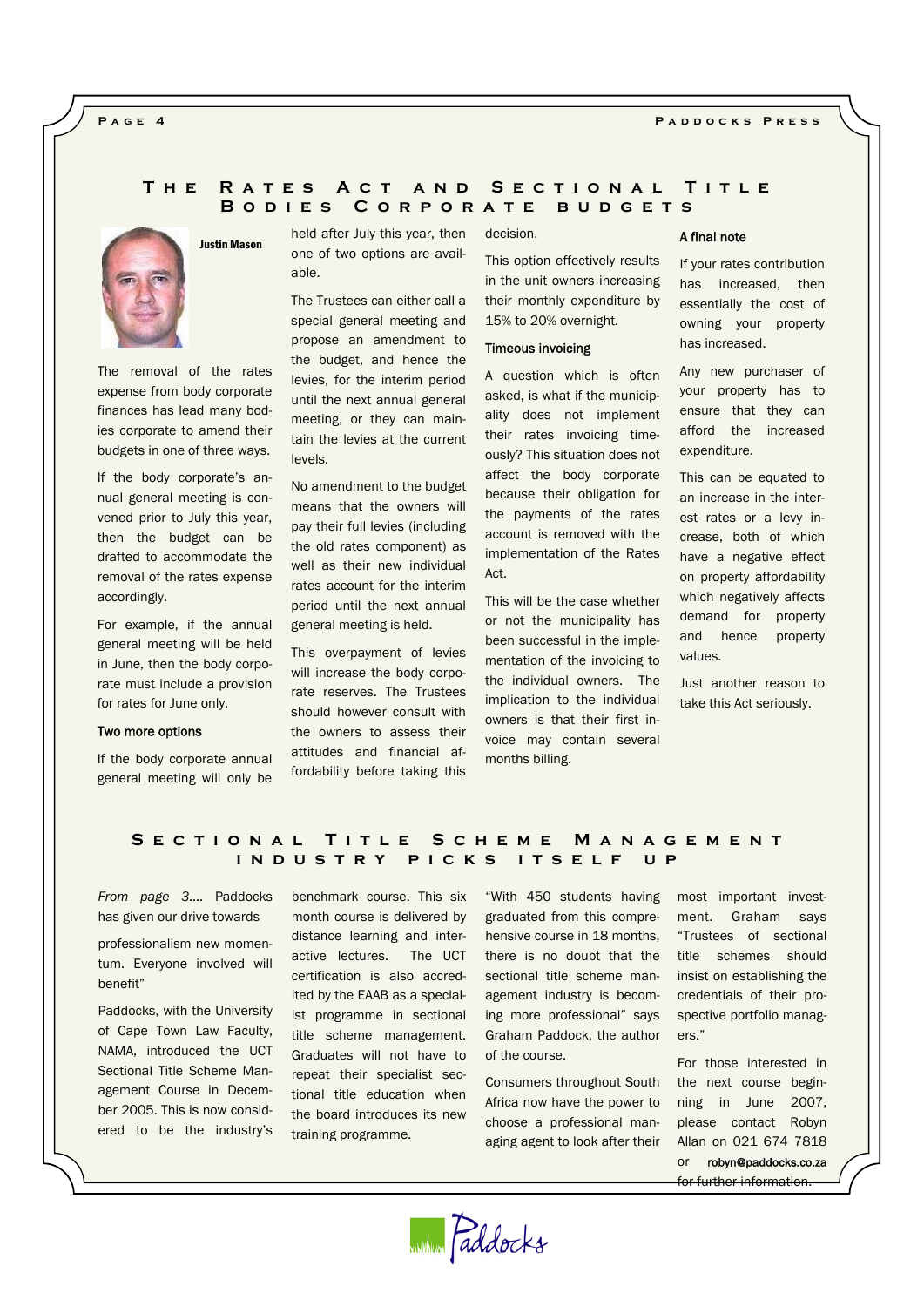#### **Paddocks Press**

**Page 4** 

# **The Rates Act and Sectional Title Bodies Corporate budgets**



Justin Mason

The removal of the rates expense from body corporate finances has lead many bodies corporate to amend their budgets in one of three ways.

If the body corporate's annual general meeting is convened prior to July this year, then the budget can be drafted to accommodate the removal of the rates expense accordingly.

For example, if the annual general meeting will be held in June, then the body corporate must include a provision for rates for June only.

#### Two more options

If the body corporate annual general meeting will only be held after July this year, then one of two options are available.

The Trustees can either call a special general meeting and propose an amendment to the budget, and hence the levies, for the interim period until the next annual general meeting, or they can maintain the levies at the current levels.

No amendment to the budget means that the owners will pay their full levies (including the old rates component) as well as their new individual rates account for the interim period until the next annual general meeting is held.

This overpayment of levies will increase the body corporate reserves. The Trustees should however consult with the owners to assess their attitudes and financial affordability before taking this

#### decision.

This option effectively results in the unit owners increasing their monthly expenditure by 15% to 20% overnight.

#### Timeous invoicing

A question which is often asked, is what if the municipality does not implement their rates invoicing timeously? This situation does not affect the body corporate because their obligation for the payments of the rates account is removed with the implementation of the Rates Act.

This will be the case whether or not the municipality has been successful in the implementation of the invoicing to the individual owners. The implication to the individual owners is that their first invoice may contain several months billing.

#### A final note

If your rates contribution has increased, then essentially the cost of owning your property has increased.

Any new purchaser of your property has to ensure that they can afford the increased expenditure.

This can be equated to an increase in the interest rates or a levy increase, both of which have a negative effect on property affordability which negatively affects demand for property and hence property values.

Just another reason to take this Act seriously.

# **Sectional Title Scheme Management industry picks itself up**

*From page 3….* Paddocks has given our drive towards

professionalism new momentum. Everyone involved will benefit"

Paddocks, with the University of Cape Town Law Faculty, NAMA, introduced the UCT Sectional Title Scheme Management Course in December 2005. This is now considered to be the industry's

benchmark course. This six month course is delivered by distance learning and interactive lectures. The UCT certification is also accredited by the EAAB as a specialist programme in sectional title scheme management. Graduates will not have to repeat their specialist sectional title education when the board introduces its new training programme.

"With 450 students having graduated from this comprehensive course in 18 months, there is no doubt that the sectional title scheme management industry is becoming more professional" says Graham Paddock, the author of the course.

Consumers throughout South Africa now have the power to choose a professional managing agent to look after their

most important investment. Graham says "Trustees of sectional title schemes should insist on establishing the credentials of their prospective portfolio manag $are$ ."

For those interested in the next course beginning in June 2007, please contact Robyn Allan on 021 674 7818 or robyn@paddocks.co.za for further information.

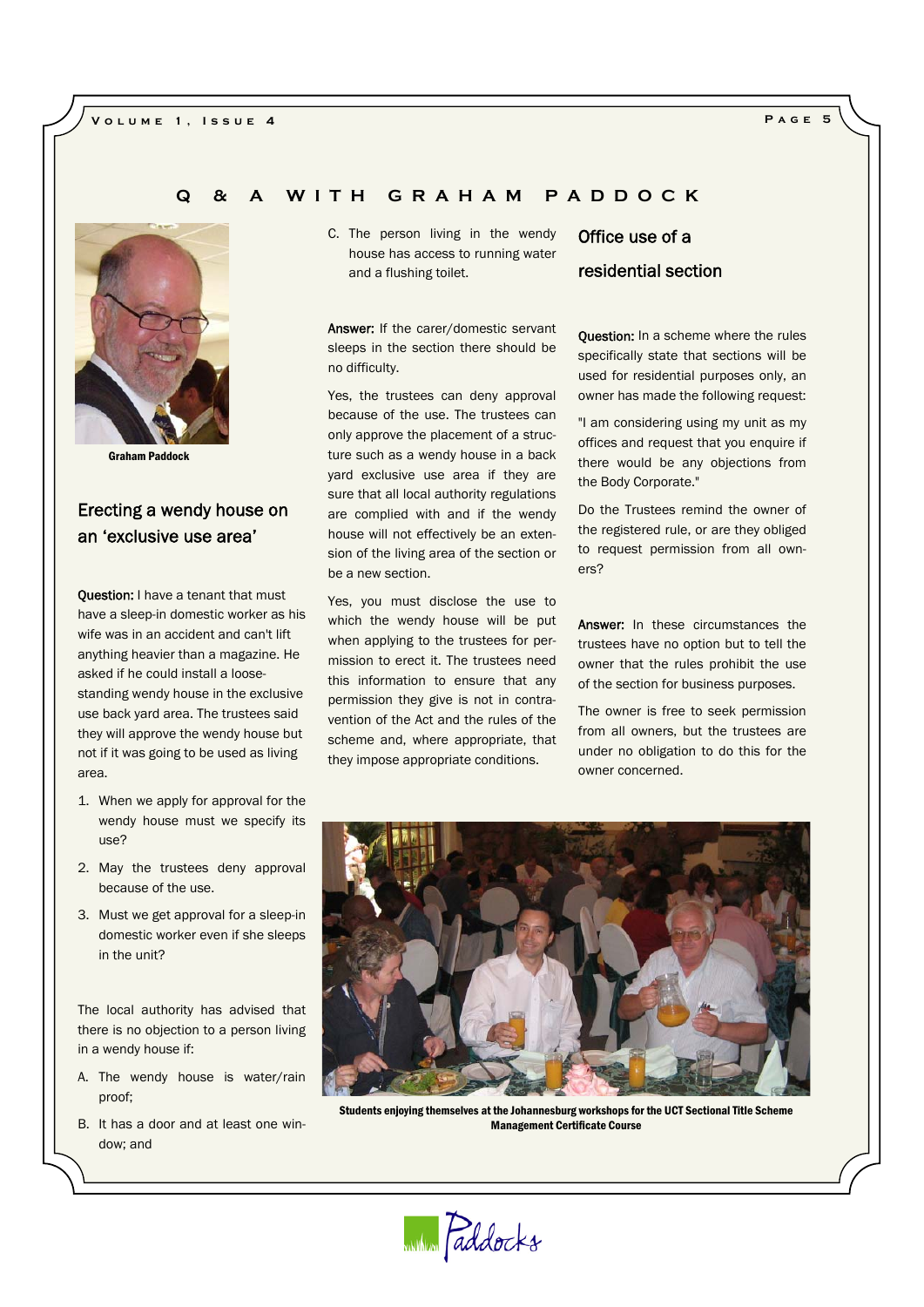# **Volume 1, Issue 4 Page 5**



Graham Paddock

# Erecting a wendy house on an 'exclusive use area'

Question: I have a tenant that must have a sleep-in domestic worker as his wife was in an accident and can't lift anything heavier than a magazine. He asked if he could install a loosestanding wendy house in the exclusive use back yard area. The trustees said they will approve the wendy house but not if it was going to be used as living area.

- 1. When we apply for approval for the wendy house must we specify its use?
- 2. May the trustees deny approval because of the use.
- 3. Must we get approval for a sleep-in domestic worker even if she sleeps in the unit?

The local authority has advised that there is no objection to a person living in a wendy house if:

- A. The wendy house is water/rain proof;
- B. It has a door and at least one window; and

C. The person living in the wendy house has access to running water and a flushing toilet.

**Q & A WITH GRAHAM PADDOCK** 

Answer: If the carer/domestic servant sleeps in the section there should be no difficulty.

Yes, the trustees can deny approval because of the use. The trustees can only approve the placement of a structure such as a wendy house in a back yard exclusive use area if they are sure that all local authority regulations are complied with and if the wendy house will not effectively be an extension of the living area of the section or be a new section.

Yes, you must disclose the use to which the wendy house will be put when applying to the trustees for permission to erect it. The trustees need this information to ensure that any permission they give is not in contravention of the Act and the rules of the scheme and, where appropriate, that they impose appropriate conditions.

# Office use of a residential section

**Question:** In a scheme where the rules specifically state that sections will be used for residential purposes only, an owner has made the following request:

"I am considering using my unit as my offices and request that you enquire if there would be any objections from the Body Corporate."

Do the Trustees remind the owner of the registered rule, or are they obliged to request permission from all owners?

Answer: In these circumstances the trustees have no option but to tell the owner that the rules prohibit the use of the section for business purposes.

The owner is free to seek permission from all owners, but the trustees are under no obligation to do this for the owner concerned.



Students enjoying themselves at the Johannesburg workshops for the UCT Sectional Title Scheme Management Certificate Course

within Paddocks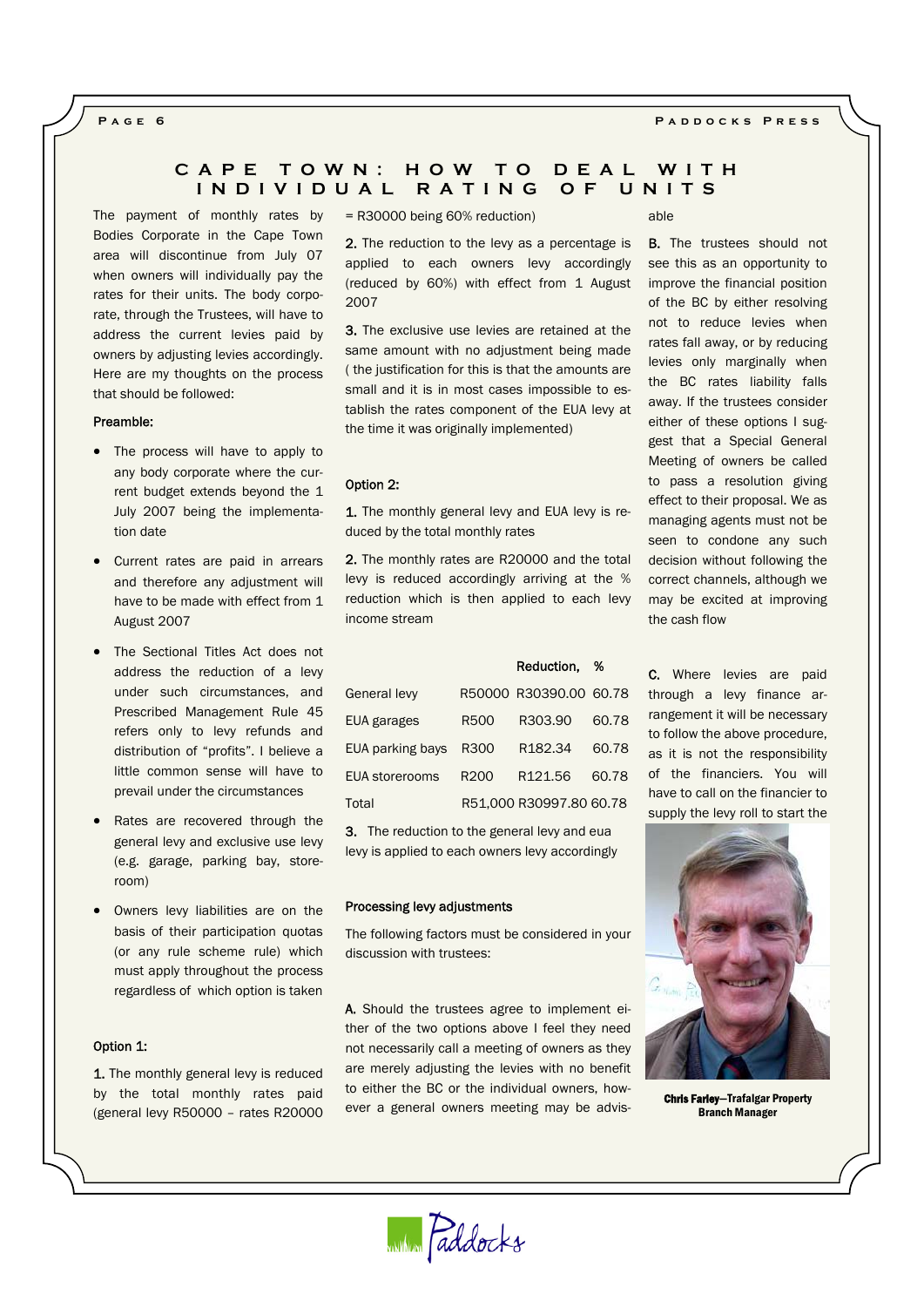### **Page 6 Paddocks Press**

# **CAPE TOWN: HOW TO DEAL WITH INDIVIDUAL RATING OF UNITS**

The payment of monthly rates by Bodies Corporate in the Cape Town area will discontinue from July 07 when owners will individually pay the rates for their units. The body corporate, through the Trustees, will have to address the current levies paid by owners by adjusting levies accordingly. Here are my thoughts on the process that should be followed:

#### Preamble:

- The process will have to apply to any body corporate where the current budget extends beyond the 1 July 2007 being the implementation date
- Current rates are paid in arrears and therefore any adjustment will have to be made with effect from 1 August 2007
- The Sectional Titles Act does not address the reduction of a levy under such circumstances, and Prescribed Management Rule 45 refers only to levy refunds and distribution of "profits". I believe a little common sense will have to prevail under the circumstances
- Rates are recovered through the general levy and exclusive use levy (e.g. garage, parking bay, storeroom)
- Owners levy liabilities are on the basis of their participation quotas (or any rule scheme rule) which must apply throughout the process regardless of which option is taken

# Option 1:

1. The monthly general levy is reduced by the total monthly rates paid (general levy R50000 – rates R20000 = R30000 being 60% reduction)

2. The reduction to the levy as a percentage is applied to each owners levy accordingly (reduced by 60%) with effect from 1 August 2007

3. The exclusive use levies are retained at the same amount with no adjustment being made ( the justification for this is that the amounts are small and it is in most cases impossible to establish the rates component of the EUA levy at the time it was originally implemented)

## Option 2:

1. The monthly general levy and EUA levy is reduced by the total monthly rates

2. The monthly rates are R20000 and the total levy is reduced accordingly arriving at the % reduction which is then applied to each levy income stream

Reduction, %

| <b>General levy</b>   |                  | R50000 R30390.00 60.78  |       |
|-----------------------|------------------|-------------------------|-------|
| EUA garages           | <b>R500</b>      | R303.90                 | 60.78 |
| EUA parking bays      | R300             | R <sub>182.34</sub>     | 60.78 |
| <b>EUA</b> storerooms | R <sub>200</sub> | R <sub>121.56</sub>     | 60.78 |
| Total                 |                  | R51,000 R30997,80 60.78 |       |

**3.** The reduction to the general levy and eua levy is applied to each owners levy accordingly

#### Processing levy adjustments

The following factors must be considered in your discussion with trustees:

A. Should the trustees agree to implement either of the two options above I feel they need not necessarily call a meeting of owners as they are merely adjusting the levies with no benefit to either the BC or the individual owners, however a general owners meeting may be advisable

**B.** The trustees should not see this as an opportunity to improve the financial position of the BC by either resolving not to reduce levies when rates fall away, or by reducing levies only marginally when the BC rates liability falls away. If the trustees consider either of these options I suggest that a Special General Meeting of owners be called to pass a resolution giving effect to their proposal. We as managing agents must not be seen to condone any such decision without following the correct channels, although we may be excited at improving the cash flow

C. Where levies are paid through a levy finance arrangement it will be necessary to follow the above procedure, as it is not the responsibility of the financiers. You will have to call on the financier to supply the levy roll to start the



Chris Farley—Trafalgar Property Branch Manager

WINNING Paddocks